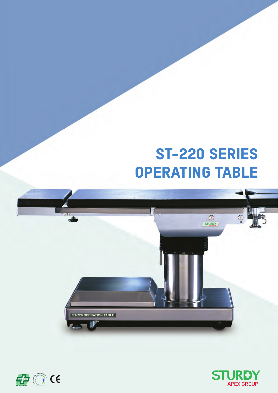# ST-220 SERIES OPERATING TABLE





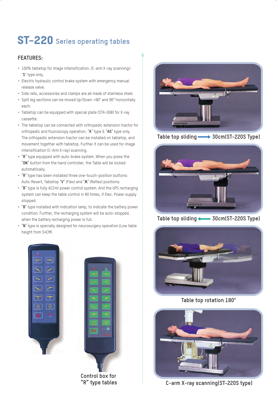### **ST-220** Series operating tables

#### **FEATURES:**

- 100% tabletop for image intensification. (C-arm X-ray scanning)- "**S**" type only.
- Electric hydraulic control brake system with emergency manual release valve.
- Side rails, accessories and clamps are all made of stainless steel.
- Split leg sections can be moved Up/Down +90° and 90° horizontally each.
- Tabletop can be equipped with special plate (STA-008) for X-ray cassette.
- The tabletop can be connected with orthopedic extension tractor for orthopedic and fluoroscopy operation. "**A**" type & "**AS**" type only. The orthopedic extension tractor can be installed on tabletop, and movement together with tabletop. Further it can be used for image intensification (C-Arm X-ray) scanning.
- "**R**" type equipped with auto-brake system. When you press the "**ON**" button from the hand controller, the Table will be locked automatically.
- "**R**" type has been installed three one-touch-position buttons: Auto-Revert, Tabletop "**V**" (Flex) and "**Λ**" (Reflex) positions.
- "**B**" type is fully AC24V power control system. And the UPS recharging system can keep the table control in 80 times, if Elec. Power supply stopped.
- "**B**" type installed with indication lamp, to indicate the battery power condition. Further, the recharging system will be auto-stopped, when the battery recharging power is full.
- "**N**" type is specially designed for neurosurgery operation.(Low table height from 54CM)





**Table top sliding 30cm(ST-220S Type)**



**Table top sliding 30cm(ST-220S Type)**



**Table top rotation 180°**



**C-arm X-ray scanning(ST-220S type)**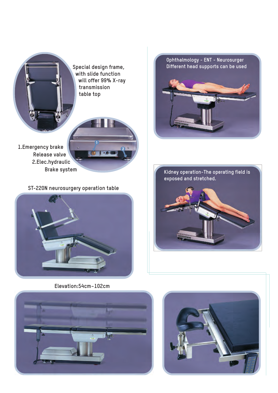

**Special design frame, with slide function will offer 99% X-ray transmission table top**

**1.Emergency brake Release valve 2.Elec.hydraulic Brake system**

**ST-220N neurosurgery operation table**



**Elevation:54cm~102cm**



**Ophthalmology - ENT - Neurosurger Different head supports can be used**

**Kidney operation-The operating field is**

**exposed and stretched.**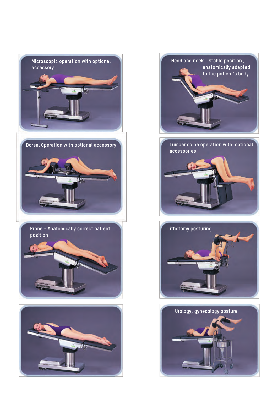



**Lumbar spine operation with optional accessories**



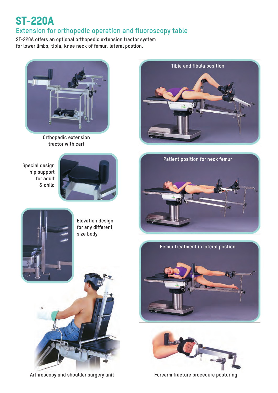### ST-220A

### **Extension for orthopedic operation and fluoroscopy table**

**ST-220A offers an optional orthopedic extension tractor system for lower limbs, tibia, knee neck of femur, lateral postion.**



**Orthopedic extension tractor with cart**

**Special design hip support for adult & child**









**Elevation design for any different size body**





**Arthroscopy and shoulder surgery unit**

**Forearm fracture procedure posturing**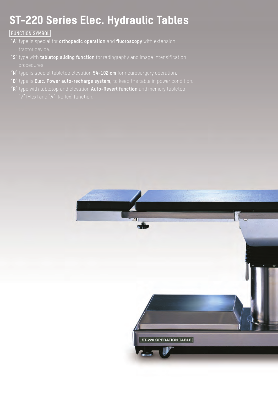## ST-220 Series Elec. Hydraulic Tables

#### **FUNCTION SYMBOL**

- "**A**" type is special for **orthopedic operation** and **fluoroscopy** with extension tractor device.
- "**S**" type with **tabletop sliding function** for radiography and image intensification
- "**N**" type is special tabletop elevation **54-102 cm** for neurosurgery operation.
- "**B**" type is **Elec. Power auto-recharge system,** to keep the table in power condition.
- "**R**" type with tabletop and elevation **Auto-Revert function** and memory tabletop

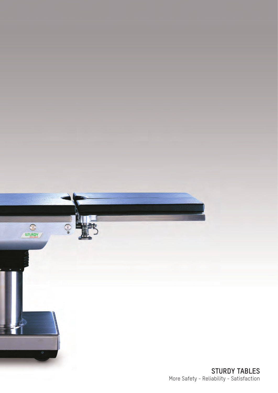